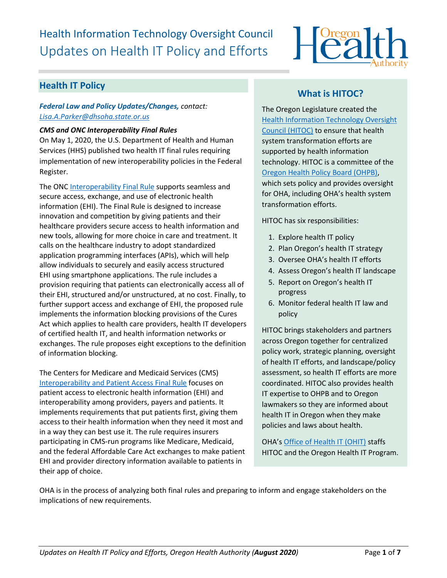# Health Information Technology Oversight Council Updates on Health IT Policy and Efforts



## **Health IT Policy**

#### *Federal Law and Policy Updates/Changes, contact: [Lisa.A.Parker@dhsoha.state.or.us](mailto:Lisa.A.Parker@dhsoha.state.or.us)*

#### *CMS and ONC Interoperability Final Rules*

On May 1, 2020, the U.S. Department of Health and Human Services (HHS) published two health IT final rules requiring implementation of new interoperability policies in the Federal Register.

The ONC [Interoperability Final Rule](https://www.healthit.gov/curesrule/) supports seamless and secure access, exchange, and use of electronic health information (EHI). The Final Rule is designed to increase innovation and competition by giving patients and their healthcare providers secure access to health information and new tools, allowing for more choice in care and treatment. It calls on the healthcare industry to adopt standardized application programming interfaces (APIs), which will help allow individuals to securely and easily access structured EHI using smartphone applications. The rule includes a provision requiring that patients can electronically access all of their EHI, structured and/or unstructured, at no cost. Finally, to further support access and exchange of EHI, the proposed rule implements the information blocking provisions of the Cures Act which applies to health care providers, health IT developers of certified health IT, and health information networks or exchanges. The rule proposes eight exceptions to the definition of information blocking.

The Centers for Medicare and Medicaid Services (CMS) [Interoperability and Patient Access Final Rule](https://www.govinfo.gov/content/pkg/FR-2020-05-01/pdf/2020-05050.pdf) focuses on patient access to electronic health information (EHI) and interoperability among providers, payers and patients. It implements requirements that put patients first, giving them access to their health information when they need it most and in a way they can best use it. The rule requires insurers participating in CMS-run programs like Medicare, Medicaid, and the federal Affordable Care Act exchanges to make patient EHI and provider directory information available to patients in their app of choice.

# **What is HITOC?**

The Oregon Legislature created the [Health Information Technology Oversight](http://www.oregon.gov/oha/ohpr/hitoc/Pages/index.aspx)  [Council \(HITOC\)](http://www.oregon.gov/oha/ohpr/hitoc/Pages/index.aspx) to ensure that health system transformation efforts are supported by health information technology. HITOC is a committee of the [Oregon Health Policy Board \(OHPB\),](https://www.oregon.gov/OHA/OHPB/Pages/index.aspx) which sets policy and provides oversight for OHA, including OHA's health system transformation efforts.

HITOC has six responsibilities:

- 1. Explore health IT policy
- 2. Plan Oregon's health IT strategy
- 3. Oversee OHA's health IT efforts
- 4. Assess Oregon's health IT landscape
- 5. Report on Oregon's health IT progress
- 6. Monitor federal health IT law and policy

HITOC brings stakeholders and partners across Oregon together for centralized policy work, strategic planning, oversight of health IT efforts, and landscape/policy assessment, so health IT efforts are more coordinated. HITOC also provides health IT expertise to OHPB and to Oregon lawmakers so they are informed about health IT in Oregon when they make policies and laws about health.

OHA's [Office of Health IT](https://www.oregon.gov/oha/HPA/OHIT/Pages/About.aspx) (OHIT) staffs HITOC and the Oregon Health IT Program.

OHA is in the process of analyzing both final rules and preparing to inform and engage stakeholders on the implications of new requirements.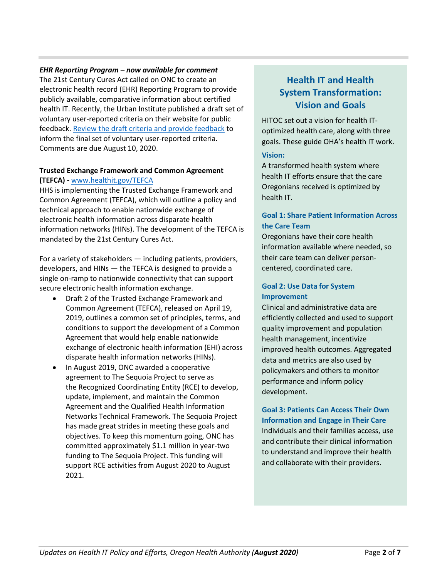#### *EHR Reporting Program – now available for comment*

The 21st Century Cures Act called on ONC to create an electronic health record (EHR) Reporting Program to provide publicly available, comparative information about certified health IT. Recently, the Urban Institute published a draft set of voluntary user-reported criteria on their website for public feedback. [Review the draft criteria and provide feedback](https://www.urban.org/policy-centers/health-policy-center/projects/electronic-health-record-reporting-program) to inform the final set of voluntary user-reported criteria. Comments are due August 10, 2020.

#### **Trusted Exchange Framework and Common Agreement (TEFCA) -** [www.healthit.gov/TEFCA](http://www.healthit.gov/TEFCA)

HHS is implementing the Trusted Exchange Framework and Common Agreement (TEFCA), which will outline a policy and technical approach to enable nationwide exchange of electronic health information across disparate health information networks (HINs). The development of the TEFCA is mandated by the 21st Century Cures Act.

For a variety of stakeholders — including patients, providers, developers, and HINs — the TEFCA is designed to provide a single on-ramp to nationwide connectivity that can support secure electronic health information exchange.

- Draft 2 of the Trusted Exchange Framework and Common Agreement (TEFCA), released on April 19, 2019, outlines a common set of principles, terms, and conditions to support the development of a Common Agreement that would help enable nationwide exchange of electronic health information (EHI) across disparate health information networks (HINs).
- In August 2019, ONC awarded a cooperative agreement to The Sequoia Project to serve as the Recognized Coordinating Entity (RCE) to develop, update, implement, and maintain the Common Agreement and the Qualified Health Information Networks Technical Framework. The Sequoia Project has made great strides in meeting these goals and objectives. To keep this momentum going, ONC has committed approximately \$1.1 million in year-two funding to The Sequoia Project. This funding will support RCE activities from August 2020 to August 2021.

# **Health IT and Health System Transformation: Vision and Goals**

HITOC set out a vision for health IToptimized health care, along with three goals. These guide OHA's health IT work.

#### **Vision:**

A transformed health system where health IT efforts ensure that the care Oregonians received is optimized by health IT.

## **Goal 1: Share Patient Information Across the Care Team**

Oregonians have their core health information available where needed, so their care team can deliver personcentered, coordinated care.

#### **Goal 2: Use Data for System Improvement**

Clinical and administrative data are efficiently collected and used to support quality improvement and population health management, incentivize improved health outcomes. Aggregated data and metrics are also used by policymakers and others to monitor performance and inform policy development.

**Goal 3: Patients Can Access Their Own Information and Engage in Their Care**  Individuals and their families access, use and contribute their clinical information to understand and improve their health and collaborate with their providers.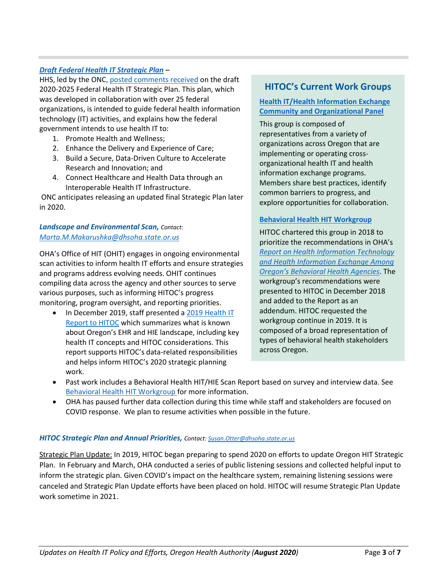#### *[Draft Federal Health IT Strategic Plan](https://www.healthit.gov/topic/2020-2025-federal-health-it-strategic-plan) –*

HHS, led by the ONC[, posted comments received](https://www.healthit.gov/topic/2020-2025-federal-health-it-strategic-plan/comments-summary) on the draft 2020-2025 Federal Health IT Strategic Plan. This plan, which was developed in collaboration with over 25 federal organizations, is intended to guide federal health information technology (IT) activities, and explains how the federal government intends to use health IT to:

- 1. Promote Health and Wellness;
- 2. Enhance the Delivery and Experience of Care;
- 3. Build a Secure, Data-Driven Culture to Accelerate Research and Innovation; and
- 4. Connect Healthcare and Health Data through an Interoperable Health IT Infrastructure.

ONC anticipates releasing an updated final Strategic Plan later in 2020.

#### *Landscape and Environmental Scan, Contact: [Marta.M.Makarushka@dhsoha.state.or.us](mailto:Marta.M.Makarushka@dhsoha.state.or.us)*

OHA's Office of HIT (OHIT) engages in ongoing environmental scan activities to inform health IT efforts and ensure strategies and programs address evolving needs. OHIT continues compiling data across the agency and other sources to serve various purposes, such as informing HITOC's progress monitoring, program oversight, and reporting priorities.

• In December 2019, staff presented [a 2019 Health IT](https://www.oregon.gov/oha/HPA/OHIT-HITOC/HITOC%20Meeting%20Docs/2019_HIT_Report_for_HITOC_Review.pdf)  [Report to HITOC](https://www.oregon.gov/oha/HPA/OHIT-HITOC/HITOC%20Meeting%20Docs/2019_HIT_Report_for_HITOC_Review.pdf) which summarizes what is known about Oregon's EHR and HIE landscape, including key health IT concepts and HITOC considerations. This report supports HITOC's data-related responsibilities and helps inform HITOC's 2020 strategic planning work.

## **HITOC's Current Work Groups**

#### **[Health IT/Health Information Exchange](https://www.oregon.gov/oha/HPA/OHIT-HITOC/Pages/HCOP.aspx)  [Community and Organizational Panel](https://www.oregon.gov/oha/HPA/OHIT-HITOC/Pages/HCOP.aspx)**

This group is composed of representatives from a variety of organizations across Oregon that are implementing or operating crossorganizational health IT and health information exchange programs. Members share best practices, identify common barriers to progress, and explore opportunities for collaboration.

#### **[Behavioral Health HIT Workgroup](https://www.oregon.gov/oha/HPA/OHIT-HITOC/Pages/Behavioral-Health-HIT.aspx)**

HITOC chartered this group in 2018 to prioritize the recommendations in OHA's *[Report on Health Information Technology](https://www.oregon.gov/oha/HPA/OHIT/Resources/BH%20HIT%20Draft%20Report%2012-1-2017%20for%20HITOC%20Review.pdf)  [and Health Information Exchange Among](https://www.oregon.gov/oha/HPA/OHIT/Resources/BH%20HIT%20Draft%20Report%2012-1-2017%20for%20HITOC%20Review.pdf)  [Oregon's Behavioral Health Agencies](https://www.oregon.gov/oha/HPA/OHIT/Resources/BH%20HIT%20Draft%20Report%2012-1-2017%20for%20HITOC%20Review.pdf)*. The workgroup's recommendations were presented to HITOC in December 2018 and added to the Report as an addendum. HITOC requested the workgroup continue in 2019. It is composed of a broad representation of types of behavioral health stakeholders across Oregon.

- Past work includes a Behavioral Health HIT/HIE Scan Report based on survey and interview data. See [Behavioral Health HIT](https://www.oregon.gov/oha/HPA/OHIT-HITOC/Pages/Behavioral-Health-HIT.aspx) [Workgroup f](https://www.oregon.gov/oha/HPA/OHIT-HITOC/Pages/Behavioral-Health-HIT.aspx)or more information.
- OHA has paused further data collection during this time while staff and stakeholders are focused on COVID response. We plan to resume activities when possible in the future.

#### *HITOC Strategic Plan and Annual Priorities, Contact[: Susan.Otter@dhsoha.state.or.us](mailto:Francie.J.Nevill@dhsoha.state.or.us)*

Strategic Plan Update: In 2019, HITOC began preparing to spend 2020 on efforts to update Oregon HIT Strategic Plan. In February and March, OHA conducted a series of public listening sessions and collected helpful input to inform the strategic plan. Given COVID's impact on the healthcare system, remaining listening sessions were canceled and Strategic Plan Update efforts have been placed on hold. HITOC will resume Strategic Plan Update work sometime in 2021.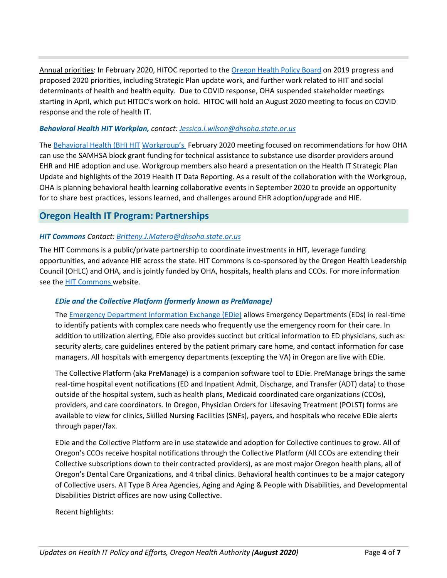Annual priorities: In February 2020, HITOC reported to the [Oregon Health Policy Board](https://www.oregon.gov/OHA/OHPB/Pages/OHPB-Meetings.aspx) on 2019 progress and proposed 2020 priorities, including Strategic Plan update work, and further work related to HIT and social determinants of health and health equity. Due to COVID response, OHA suspended stakeholder meetings starting in April, which put HITOC's work on hold. HITOC will hold an August 2020 meeting to focus on COVID response and the role of health IT.

#### *Behavioral Health HIT Workplan, contact: [Jessica.l.wilson@dhsoha.state.or.us](mailto:Jessica.l.wilson@dhsoha.state.or.us)*

The [Behavioral Health \(BH\) HIT](https://www.oregon.gov/oha/HPA/OHIT-HITOC/Pages/Behavioral-Health-HIT.aspx) [Workgroup's](https://www.oregon.gov/oha/HPA/OHIT-HITOC/Pages/Behavioral-Health-HIT.aspx) February 2020 meeting focused on recommendations for how OHA can use the SAMHSA block grant funding for technical assistance to substance use disorder providers around EHR and HIE adoption and use. Workgroup members also heard a presentation on the Health IT Strategic Plan Update and highlights of the 2019 Health IT Data Reporting. As a result of the collaboration with the Workgroup, OHA is planning behavioral health learning collaborative events in September 2020 to provide an opportunity for to share best practices, lessons learned, and challenges around EHR adoption/upgrade and HIE.

## **Oregon Health IT Program: Partnerships**

#### *HIT Commons Contact[: Britteny.J.Matero@dhsoha.state.or.us](mailto:Britteny.J.Matero@dhsoha.state.or.us)*

The HIT Commons is a public/private partnership to coordinate investments in HIT, leverage funding opportunities, and advance HIE across the state. HIT Commons is co-sponsored by the Oregon Health Leadership Council (OHLC) and OHA, and is jointly funded by OHA, hospitals, health plans and CCOs. For more information see the [HIT Commons w](http://www.orhealthleadershipcouncil.org/hit-commons/)ebsite.

#### *EDie and the Collective Platform (formerly known as PreManage)*

Th[e Emergency Department Information Exchange \(EDie\)](http://www.orhealthleadershipcouncil.org/edie/) allows Emergency Departments (EDs) in real-time to identify patients with complex care needs who frequently use the emergency room for their care. In addition to utilization alerting, EDie also provides succinct but critical information to ED physicians, such as: security alerts, care guidelines entered by the patient primary care home, and contact information for case managers. All hospitals with emergency departments (excepting the VA) in Oregon are live with EDie.

The Collective Platform (aka PreManage) is a companion software tool to EDie. PreManage brings the same real-time hospital event notifications (ED and Inpatient Admit, Discharge, and Transfer (ADT) data) to those outside of the hospital system, such as health plans, Medicaid coordinated care organizations (CCOs), providers, and care coordinators. In Oregon, Physician Orders for Lifesaving Treatment (POLST) forms are available to view for clinics, Skilled Nursing Facilities (SNFs), payers, and hospitals who receive EDie alerts through paper/fax.

EDie and the Collective Platform are in use statewide and adoption for Collective continues to grow. All of Oregon's CCOs receive hospital notifications through the Collective Platform (All CCOs are extending their Collective subscriptions down to their contracted providers), as are most major Oregon health plans, all of Oregon's Dental Care Organizations, and 4 tribal clinics. Behavioral health continues to be a major category of Collective users. All Type B Area Agencies, Aging and Aging & People with Disabilities, and Developmental Disabilities District offices are now using Collective.

Recent highlights: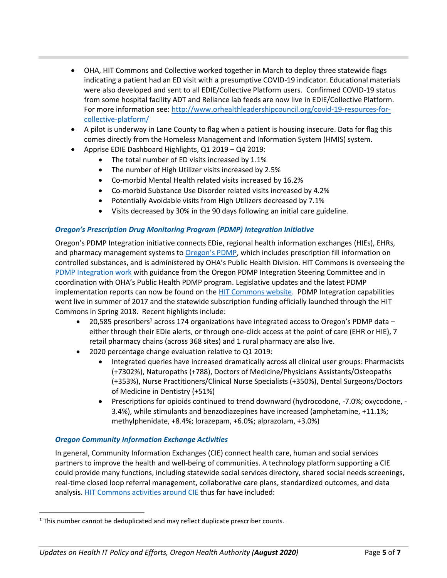- OHA, HIT Commons and Collective worked together in March to deploy three statewide flags indicating a patient had an ED visit with a presumptive COVID-19 indicator. Educational materials were also developed and sent to all EDIE/Collective Platform users. Confirmed COVID-19 status from some hospital facility ADT and Reliance lab feeds are now live in EDIE/Collective Platform. For more information see: [http://www.orhealthleadershipcouncil.org/covid-19-resources-for](http://www.orhealthleadershipcouncil.org/covid-19-resources-for-collective-platform/)[collective-platform/](http://www.orhealthleadershipcouncil.org/covid-19-resources-for-collective-platform/)
- A pilot is underway in Lane County to flag when a patient is housing insecure. Data for flag this comes directly from the Homeless Management and Information System (HMIS) system.
- Apprise EDIE Dashboard Highlights, Q1 2019 Q4 2019:
	- The total number of ED visits increased by 1.1%
	- The number of High Utilizer visits increased by 2.5%
	- Co-morbid Mental Health related visits increased by 16.2%
	- Co-morbid Substance Use Disorder related visits increased by 4.2%
	- Potentially Avoidable visits from High Utilizers decreased by 7.1%
	- Visits decreased by 30% in the 90 days following an initial care guideline.

#### *Oregon's Prescription Drug Monitoring Program (PDMP) Integration Initiative*

Oregon's PDMP Integration initiative connects EDie, regional health information exchanges (HIEs), EHRs, and pharmacy management systems to [Oregon's PDMP](http://www.orpdmp.com/), which includes prescription fill information on controlled substances, and is administered by OHA's Public Health Division. HIT Commons is overseeing the [PDMP Integration work](http://www.orhealthleadershipcouncil.org/pdmp-integration/) with guidance from the Oregon PDMP Integration Steering Committee and in coordination with OHA's Public Health PDMP program. Legislative updates and the latest PDMP implementation reports can now be found on th[e HIT Commons website.](http://www.orhealthleadershipcouncil.org/hit-commons/) PDMP Integration capabilities went live in summer of 2017 and the statewide subscription funding officially launched through the HIT Commons in Spring 2018. Recent highlights include:

- 20,585 prescribers<sup>1</sup> across 174 organizations have integrated access to Oregon's PDMP data either through their EDie alerts, or through one-click access at the point of care (EHR or HIE), 7 retail pharmacy chains (across 368 sites) and 1 rural pharmacy are also live.
- 2020 percentage change evaluation relative to Q1 2019:
	- Integrated queries have increased dramatically across all clinical user groups: Pharmacists (+7302%), Naturopaths (+788), Doctors of Medicine/Physicians Assistants/Osteopaths (+353%), Nurse Practitioners/Clinical Nurse Specialists (+350%), Dental Surgeons/Doctors of Medicine in Dentistry (+51%)
	- Prescriptions for opioids continued to trend downward (hydrocodone, -7.0%; oxycodone, 3.4%), while stimulants and benzodiazepines have increased (amphetamine, +11.1%; methylphenidate, +8.4%; lorazepam, +6.0%; alprazolam, +3.0%)

#### *Oregon Community Information Exchange Activities*

In general, Community Information Exchanges (CIE) connect health care, human and social services partners to improve the health and well-being of communities. A technology platform supporting a CIE could provide many functions, including statewide social services directory, shared social needs screenings, real-time closed loop referral management, collaborative care plans, standardized outcomes, and data analysis. [HIT Commons activities around CIE](http://www.orhealthleadershipcouncil.org/oregon-community-information-exchange-ocie/) thus far have included:

<sup>&</sup>lt;sup>1</sup> This number cannot be deduplicated and may reflect duplicate prescriber counts.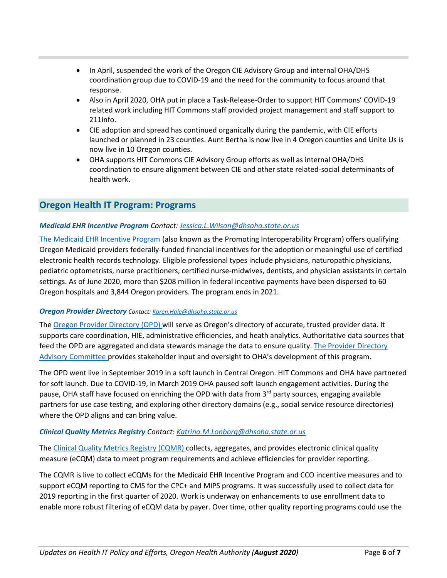- In April, suspended the work of the Oregon CIE Advisory Group and internal OHA/DHS coordination group due to COVID-19 and the need for the community to focus around that response.
- Also in April 2020, OHA put in place a Task-Release-Order to support HIT Commons' COVID-19 related work including HIT Commons staff provided project management and staff support to 211info.
- CIE adoption and spread has continued organically during the pandemic, with CIE efforts launched or planned in 23 counties. Aunt Bertha is now live in 4 Oregon counties and Unite Us is now live in 10 Oregon counties.
- OHA supports HIT Commons CIE Advisory Group efforts as well as internal OHA/DHS coordination to ensure alignment between CIE and other state related-social determinants of health work.

## **Oregon Health IT Program: Programs**

#### *Medicaid EHR Incentive Program Contact: [Jessica.L.Wilson@dhsoha.state.or.us](mailto:Jessica.L.Wilson@dhsoha.state.or.us)*

[The Medicaid EHR Incentive Program](https://www.oregon.gov/oha/MHIT/pages/index.aspx) (also known as the Promoting Interoperability Program) offers qualifying Oregon Medicaid providers federally-funded financial incentives for the adoption or meaningful use of certified electronic health records technology. Eligible professional types include physicians, naturopathic physicians, pediatric optometrists, nurse practitioners, certified nurse-midwives, dentists, and physician assistants in certain settings. As of June 2020, more than \$208 million in federal incentive payments have been dispersed to 60 Oregon hospitals and 3,844 Oregon providers. The program ends in 2021.

#### *Oregon Provider Directory Contact: [Karen.Hale@dhsoha.state.or.us](mailto:Karen.Hale@dhsoha.state.or.us)*

The [Oregon Provider Directory \(](https://www.oregon.gov/oha/HPA/OHIT/Pages/PD-Overview.aspx)OPD) will serve as Oregon's directory of accurate, trusted provider data. It supports care coordination, HIE, administrative efficiencies, and heath analytics. Authoritative data sources that feed the OPD are aggregated and data stewards manage the data to ensure quality. [The Provider Directory](https://www.oregon.gov/oha/HPA/OHIT/Pages/PDAC.aspx)  [Advisory Committee](https://www.oregon.gov/oha/HPA/OHIT/Pages/PDAC.aspx) provides stakeholder input and oversight to OHA's development of this program.

The OPD went live in September 2019 in a soft launch in Central Oregon. HIT Commons and OHA have partnered for soft launch. Due to COVID-19, in March 2019 OHA paused soft launch engagement activities. During the pause, OHA staff have focused on enriching the OPD with data from 3<sup>rd</sup> party sources, engaging available partners for use case testing, and exploring other directory domains (e.g., social service resource directories) where the OPD aligns and can bring value.

#### *Clinical Quality Metrics Registry Contact: [Katrina.M.Lonborg@dhsoha.state.or.us](mailto:Katrina.M.Lonborg@dhsoha.state.or.us)*

The [Clinical Quality Metrics Registry \(CQMR\) c](https://www.oregon.gov/oha/HPA/OHIT/Pages/CQMR.aspx)ollects, aggregates, and provides electronic clinical quality measure (eCQM) data to meet program requirements and achieve efficiencies for provider reporting.

The CQMR is live to collect eCQMs for the Medicaid EHR Incentive Program and CCO incentive measures and to support eCQM reporting to CMS for the CPC+ and MIPS programs. It was successfully used to collect data for 2019 reporting in the first quarter of 2020. Work is underway on enhancements to use enrollment data to enable more robust filtering of eCQM data by payer. Over time, other quality reporting programs could use the